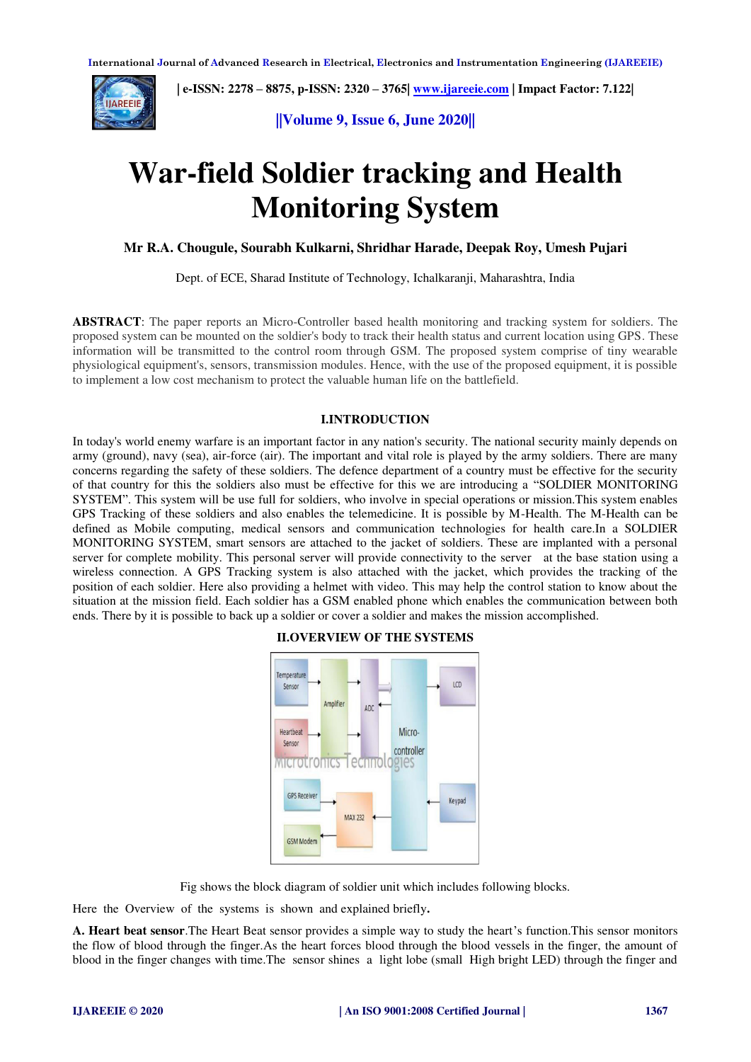

 **| e-ISSN: 2278 – 8875, p-ISSN: 2320 – 3765[| www.ijareeie.com](http://www.ijareeie.com/) | Impact Factor: 7.122|** 

**||Volume 9, Issue 6, June 2020||** 

# **War-field Soldier tracking and Health Monitoring System**

### **Mr R.A. Chougule, Sourabh Kulkarni, Shridhar Harade, Deepak Roy, Umesh Pujari**

Dept. of ECE, Sharad Institute of Technology, Ichalkaranji, Maharashtra, India

**ABSTRACT**: The paper reports an Micro-Controller based health monitoring and tracking system for soldiers. The proposed system can be mounted on the soldier's body to track their health status and current location using GPS. These information will be transmitted to the control room through GSM. The proposed system comprise of tiny wearable physiological equipment's, sensors, transmission modules. Hence, with the use of the proposed equipment, it is possible to implement a low cost mechanism to protect the valuable human life on the battlefield.

#### **I.INTRODUCTION**

In today's world enemy warfare is an important factor in any nation's security. The national security mainly depends on army (ground), navy (sea), air-force (air). The important and vital role is played by the army soldiers. There are many concerns regarding the safety of these soldiers. The defence department of a country must be effective for the security of that country for this the soldiers also must be effective for this we are introducing a "SOLDIER MONITORING SYSTEM". This system will be use full for soldiers, who involve in special operations or mission.This system enables GPS Tracking of these soldiers and also enables the telemedicine. It is possible by M-Health. The M-Health can be defined as Mobile computing, medical sensors and communication technologies for health care.In a SOLDIER MONITORING SYSTEM, smart sensors are attached to the jacket of soldiers. These are implanted with a personal server for complete mobility. This personal server will provide connectivity to the server at the base station using a wireless connection. A GPS Tracking system is also attached with the jacket, which provides the tracking of the position of each soldier. Here also providing a helmet with video. This may help the control station to know about the situation at the mission field. Each soldier has a GSM enabled phone which enables the communication between both ends. There by it is possible to back up a soldier or cover a soldier and makes the mission accomplished.

#### Temnerature LCD Sensor Amnlifier  $\overline{M}$ Hearthea Micro-Senso controller ecnno **MICTOL** ogies GPS Receive Keypad MAX 232 GSM Modem

#### **II.OVERVIEW OF THE SYSTEMS**

Fig shows the block diagram of soldier unit which includes following blocks.

Here the Overview of the systems is shown and explained briefly**.** 

**A. Heart beat sensor**.The Heart Beat sensor provides a simple way to study the heart's function.This sensor monitors the flow of blood through the finger.As the heart forces blood through the blood vessels in the finger, the amount of blood in the finger changes with time.The sensor shines a light lobe (small High bright LED) through the finger and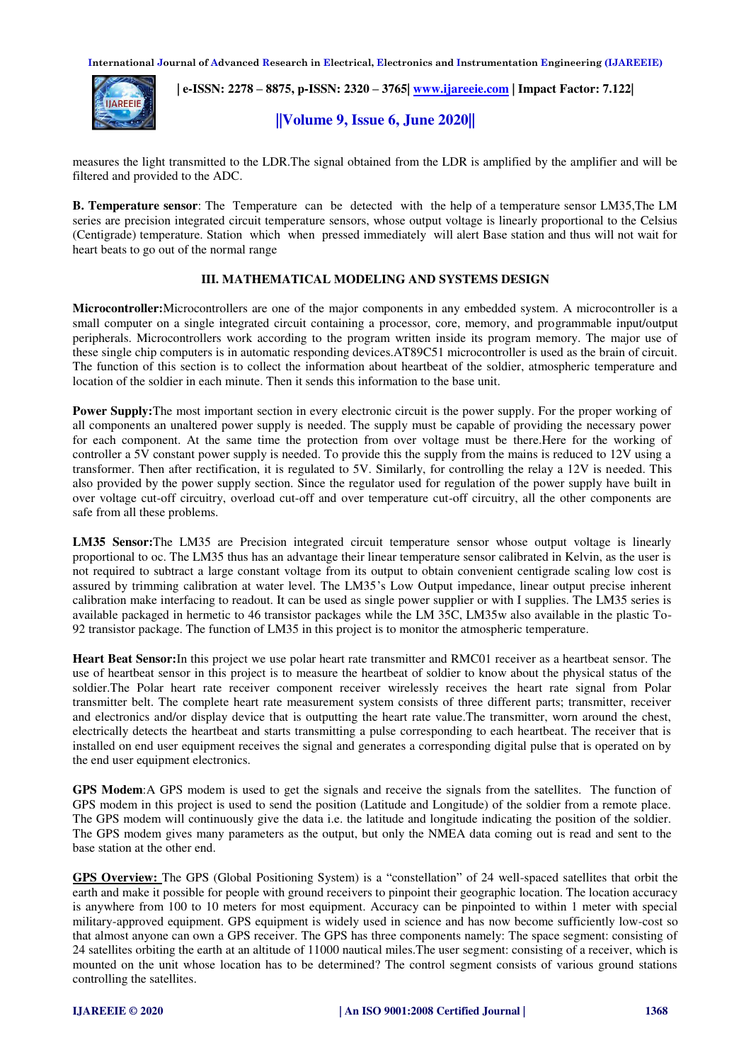**International Journal of Advanced Research in Electrical, Electronics and Instrumentation Engineering (IJAREEIE)** 



 **| e-ISSN: 2278 – 8875, p-ISSN: 2320 – 3765[| www.ijareeie.com](http://www.ijareeie.com/) | Impact Factor: 7.122|** 

## **||Volume 9, Issue 6, June 2020||**

measures the light transmitted to the LDR.The signal obtained from the LDR is amplified by the amplifier and will be filtered and provided to the ADC.

**B. Temperature sensor**: The Temperature can be detected with the help of a temperature sensor LM35,The LM series are precision integrated circuit temperature sensors, whose output voltage is linearly proportional to the Celsius (Centigrade) temperature. Station which when pressed immediately will alert Base station and thus will not wait for heart beats to go out of the normal range

#### **III. MATHEMATICAL MODELING AND SYSTEMS DESIGN**

**Microcontroller:**Microcontrollers are one of the major components in any embedded system. A microcontroller is a small computer on a single integrated circuit containing a processor, core, memory, and programmable input/output peripherals. Microcontrollers work according to the program written inside its program memory. The major use of these single chip computers is in automatic responding devices.AT89C51 microcontroller is used as the brain of circuit. The function of this section is to collect the information about heartbeat of the soldier, atmospheric temperature and location of the soldier in each minute. Then it sends this information to the base unit.

**Power Supply:**The most important section in every electronic circuit is the power supply. For the proper working of all components an unaltered power supply is needed. The supply must be capable of providing the necessary power for each component. At the same time the protection from over voltage must be there.Here for the working of controller a 5V constant power supply is needed. To provide this the supply from the mains is reduced to 12V using a transformer. Then after rectification, it is regulated to 5V. Similarly, for controlling the relay a 12V is needed. This also provided by the power supply section. Since the regulator used for regulation of the power supply have built in over voltage cut-off circuitry, overload cut-off and over temperature cut-off circuitry, all the other components are safe from all these problems.

**LM35 Sensor:**The LM35 are Precision integrated circuit temperature sensor whose output voltage is linearly proportional to oc. The LM35 thus has an advantage their linear temperature sensor calibrated in Kelvin, as the user is not required to subtract a large constant voltage from its output to obtain convenient centigrade scaling low cost is assured by trimming calibration at water level. The LM35's Low Output impedance, linear output precise inherent calibration make interfacing to readout. It can be used as single power supplier or with I supplies. The LM35 series is available packaged in hermetic to 46 transistor packages while the LM 35C, LM35w also available in the plastic To-92 transistor package. The function of LM35 in this project is to monitor the atmospheric temperature.

**Heart Beat Sensor:**In this project we use polar heart rate transmitter and RMC01 receiver as a heartbeat sensor. The use of heartbeat sensor in this project is to measure the heartbeat of soldier to know about the physical status of the soldier.The Polar heart rate receiver component receiver wirelessly receives the heart rate signal from Polar transmitter belt. The complete heart rate measurement system consists of three different parts; transmitter, receiver and electronics and/or display device that is outputting the heart rate value.The transmitter, worn around the chest, electrically detects the heartbeat and starts transmitting a pulse corresponding to each heartbeat. The receiver that is installed on end user equipment receives the signal and generates a corresponding digital pulse that is operated on by the end user equipment electronics.

**GPS Modem**:A GPS modem is used to get the signals and receive the signals from the satellites. The function of GPS modem in this project is used to send the position (Latitude and Longitude) of the soldier from a remote place. The GPS modem will continuously give the data i.e. the latitude and longitude indicating the position of the soldier. The GPS modem gives many parameters as the output, but only the NMEA data coming out is read and sent to the base station at the other end.

**GPS Overview:** The GPS (Global Positioning System) is a "constellation" of 24 well-spaced satellites that orbit the earth and make it possible for people with ground receivers to pinpoint their geographic location. The location accuracy is anywhere from 100 to 10 meters for most equipment. Accuracy can be pinpointed to within 1 meter with special military-approved equipment. GPS equipment is widely used in science and has now become sufficiently low-cost so that almost anyone can own a GPS receiver. The GPS has three components namely: The space segment: consisting of 24 satellites orbiting the earth at an altitude of 11000 nautical miles.The user segment: consisting of a receiver, which is mounted on the unit whose location has to be determined? The control segment consists of various ground stations controlling the satellites.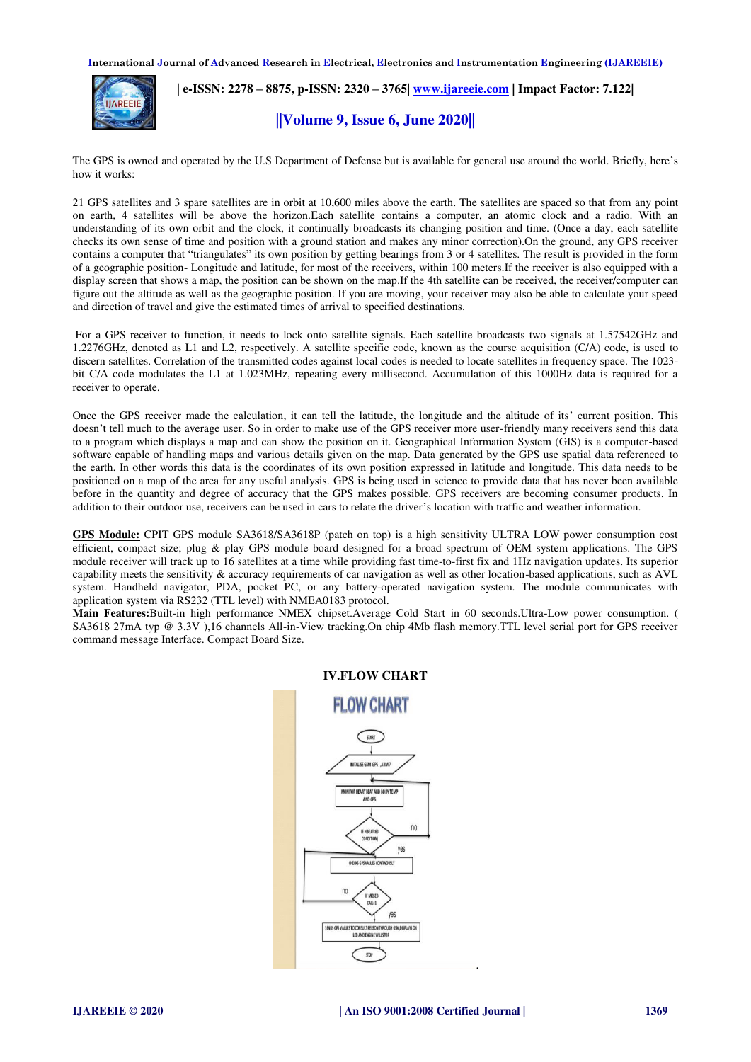**International Journal of Advanced Research in Electrical, Electronics and Instrumentation Engineering (IJAREEIE)** 



 **| e-ISSN: 2278 – 8875, p-ISSN: 2320 – 3765[| www.ijareeie.com](http://www.ijareeie.com/) | Impact Factor: 7.122|** 

## **||Volume 9, Issue 6, June 2020||**

The GPS is owned and operated by the U.S Department of Defense but is available for general use around the world. Briefly, here's how it works:

21 GPS satellites and 3 spare satellites are in orbit at 10,600 miles above the earth. The satellites are spaced so that from any point on earth, 4 satellites will be above the horizon.Each satellite contains a computer, an atomic clock and a radio. With an understanding of its own orbit and the clock, it continually broadcasts its changing position and time. (Once a day, each satellite checks its own sense of time and position with a ground station and makes any minor correction).On the ground, any GPS receiver contains a computer that "triangulates" its own position by getting bearings from 3 or 4 satellites. The result is provided in the form of a geographic position- Longitude and latitude, for most of the receivers, within 100 meters.If the receiver is also equipped with a display screen that shows a map, the position can be shown on the map.If the 4th satellite can be received, the receiver/computer can figure out the altitude as well as the geographic position. If you are moving, your receiver may also be able to calculate your speed and direction of travel and give the estimated times of arrival to specified destinations.

 For a GPS receiver to function, it needs to lock onto satellite signals. Each satellite broadcasts two signals at 1.57542GHz and 1.2276GHz, denoted as L1 and L2, respectively. A satellite specific code, known as the course acquisition (C/A) code, is used to discern satellites. Correlation of the transmitted codes against local codes is needed to locate satellites in frequency space. The 1023 bit C/A code modulates the L1 at 1.023MHz, repeating every millisecond. Accumulation of this 1000Hz data is required for a receiver to operate.

Once the GPS receiver made the calculation, it can tell the latitude, the longitude and the altitude of its' current position. This doesn't tell much to the average user. So in order to make use of the GPS receiver more user-friendly many receivers send this data to a program which displays a map and can show the position on it. Geographical Information System (GIS) is a computer-based software capable of handling maps and various details given on the map. Data generated by the GPS use spatial data referenced to the earth. In other words this data is the coordinates of its own position expressed in latitude and longitude. This data needs to be positioned on a map of the area for any useful analysis. GPS is being used in science to provide data that has never been available before in the quantity and degree of accuracy that the GPS makes possible. GPS receivers are becoming consumer products. In addition to their outdoor use, receivers can be used in cars to relate the driver's location with traffic and weather information.

**GPS Module:** CPIT GPS module SA3618/SA3618P (patch on top) is a high sensitivity ULTRA LOW power consumption cost efficient, compact size; plug & play GPS module board designed for a broad spectrum of OEM system applications. The GPS module receiver will track up to 16 satellites at a time while providing fast time-to-first fix and 1Hz navigation updates. Its superior capability meets the sensitivity & accuracy requirements of car navigation as well as other location-based applications, such as AVL system. Handheld navigator, PDA, pocket PC, or any battery-operated navigation system. The module communicates with application system via RS232 (TTL level) with NMEA0183 protocol.

**Main Features:**Built-in high performance NMEX chipset.Average Cold Start in 60 seconds.Ultra-Low power consumption. ( SA3618 27mA typ @ 3.3V ),16 channels All-in-View tracking.On chip 4Mb flash memory.TTL level serial port for GPS receiver command message Interface. Compact Board Size.



.